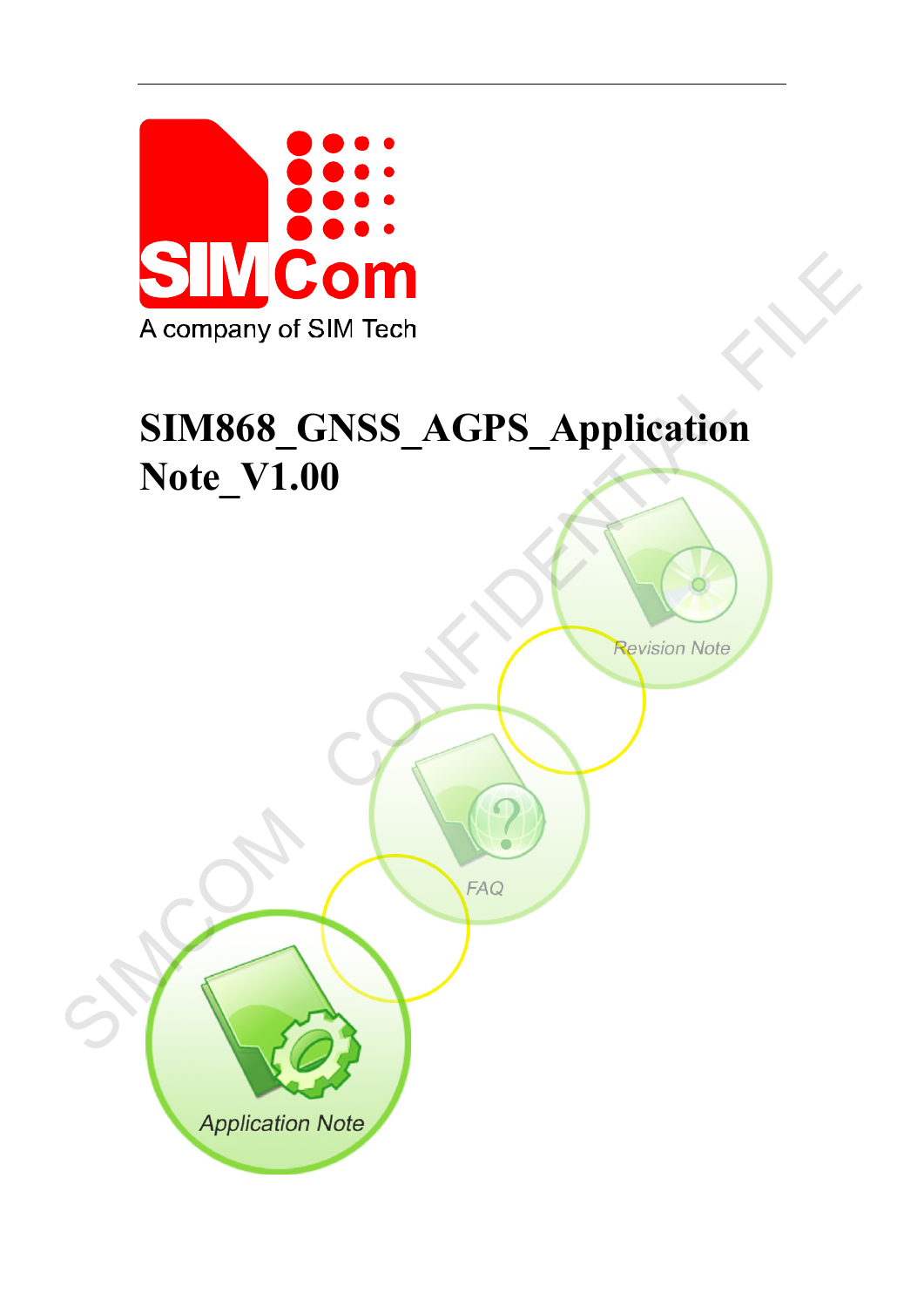

# **SIM868\_GNSS\_AGPS\_Application Note\_V1.00** A company of SIM Tech<br>
SIM868\_GNSS\_AGPS\_Application<br>
Note\_V1.00<br>
(All Confidential Files)

**Application Note**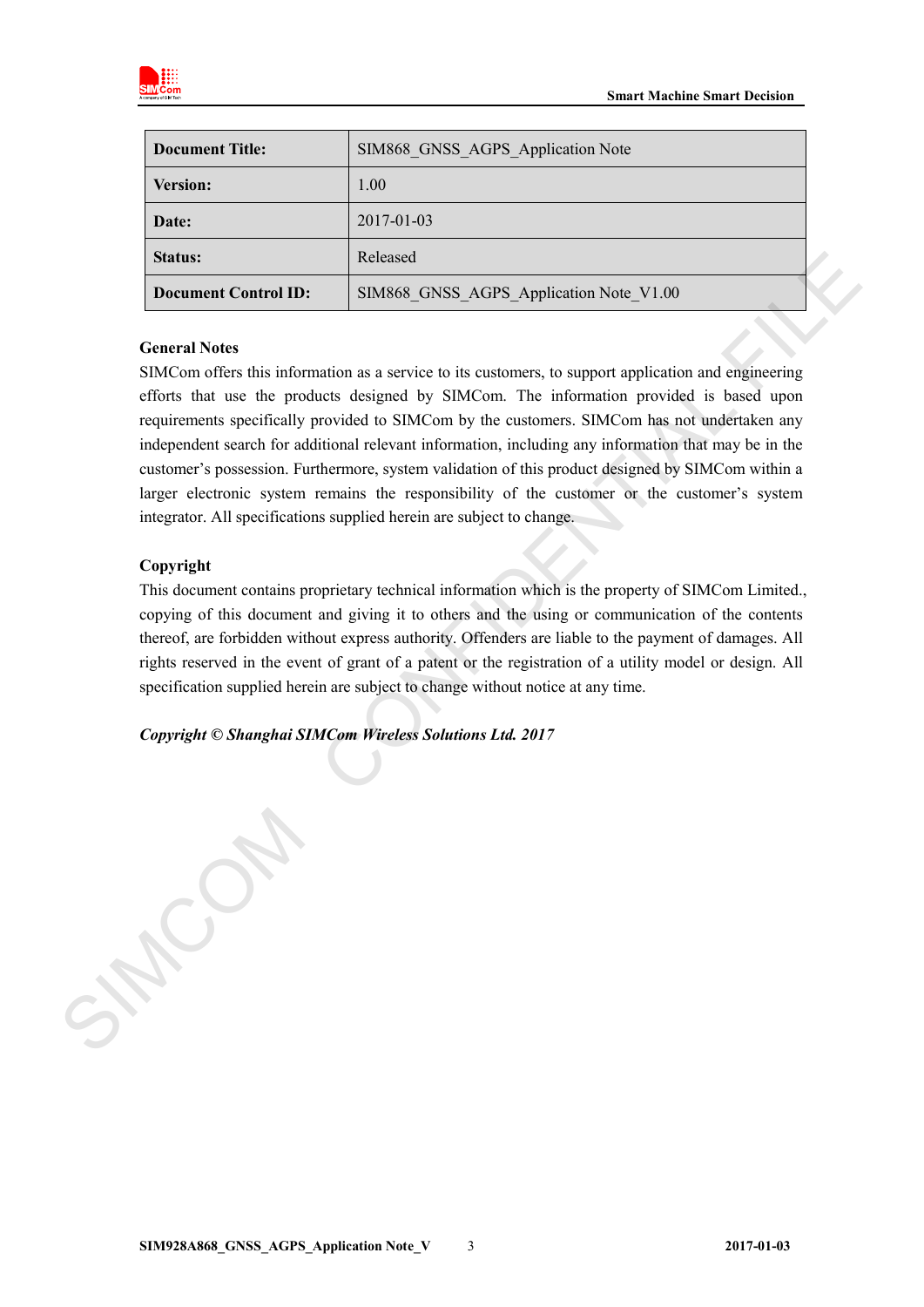

| SIM868 GNSS AGPS Application Note<br><b>Document Title:</b> |                                         |  |
|-------------------------------------------------------------|-----------------------------------------|--|
| <b>Version:</b>                                             | 1.00                                    |  |
| Date:                                                       | 2017-01-03                              |  |
| <b>Status:</b>                                              | Released                                |  |
| <b>Document Control ID:</b>                                 | SIM868 GNSS AGPS Application Note V1.00 |  |

### **General Notes**

SIMCom offers this information as a service to its customers, to support application and engineering efforts that use the products designed by SIMCom. The information provided is based upon requirements specifically provided to SIMCom by the customers. SIMCom has not undertaken any independent search for additional relevant information, including any information that may be in the customer's possession. Furthermore, system validation of this product designed by SIMCom within a larger electronic system remains the responsibility of the customer or the customer's system integrator. All specifications supplied herein are subject to change. Status:<br> **Broadbash Control ID:** ESIME6N GNESS AGPS Application Note V1.00<br>
Concured Notes<br>
SIMCom offses this information as a service to its enstonmers, to support application and engineering<br>
sifests that use the produc

### **Copyright**

This document contains proprietary technical information which is the property of SIMCom Limited., copying of this document and giving it to others and the using or communication of the contents thereof, are forbidden without express authority. Offenders are liable to the payment of damages. All rights reserved in the event of grant of a patent or the registration of a utility model or design. All specification supplied herein are subject to change without notice at any time.

*Copyright © Shanghai SIMCom Wireless Solutions Ltd. 2017*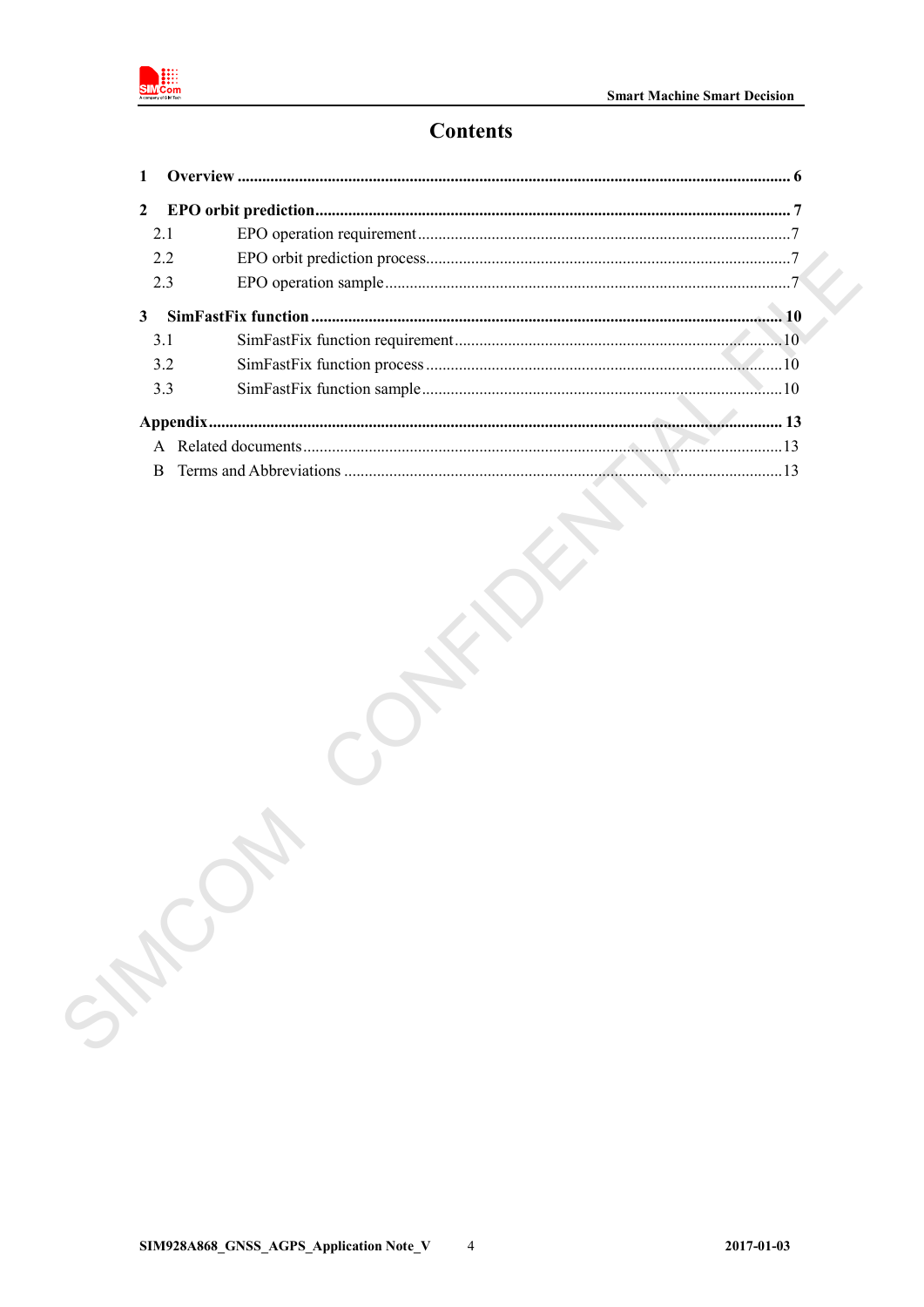

# **Contents**

| 2.1          |  |
|--------------|--|
| 2.2          |  |
| 2.3          |  |
|              |  |
| 3.1          |  |
| 3.2          |  |
| 3.3          |  |
|              |  |
|              |  |
| <sub>R</sub> |  |
|              |  |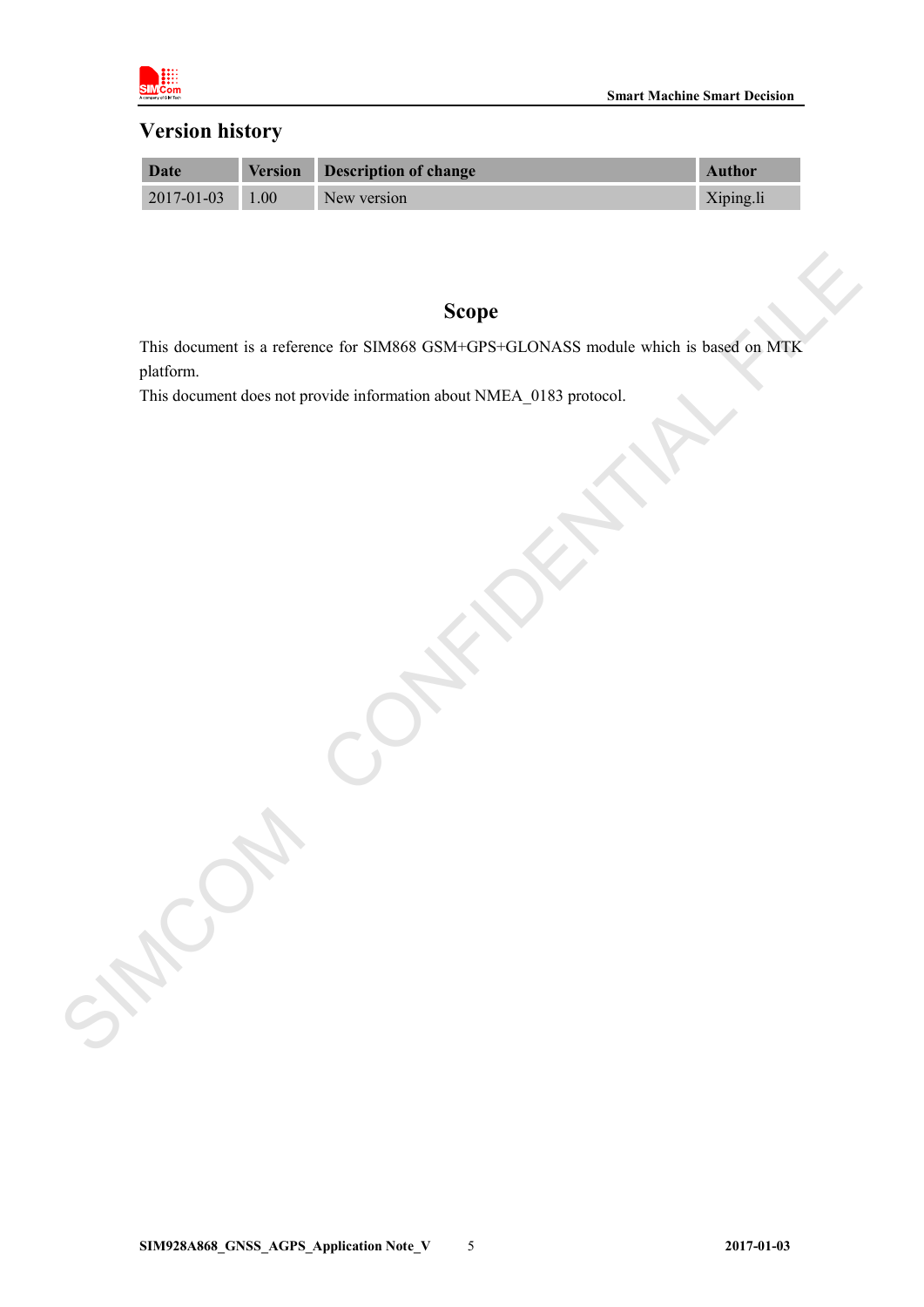

# **Version history**

| Date                  | <b>Version</b> | Description of change | <b>Author</b> |
|-----------------------|----------------|-----------------------|---------------|
| $2017 - 01 - 03$ 1.00 |                | New version           | Xiping.li     |

# **Scope**

This document is a reference for SIM868 GSM+GPS+GLONASS module which is based on MTK platform. Scope<br>
This document is a reference for SIMS6S GSM -GFS GLONASS mediate which is based on MTR<br>
This document does not provide information about NMFA\_0183 probesn!<br>
This document does not provide information about NMFA\_0183

This document does not provide information about NMEA\_0183 protocol.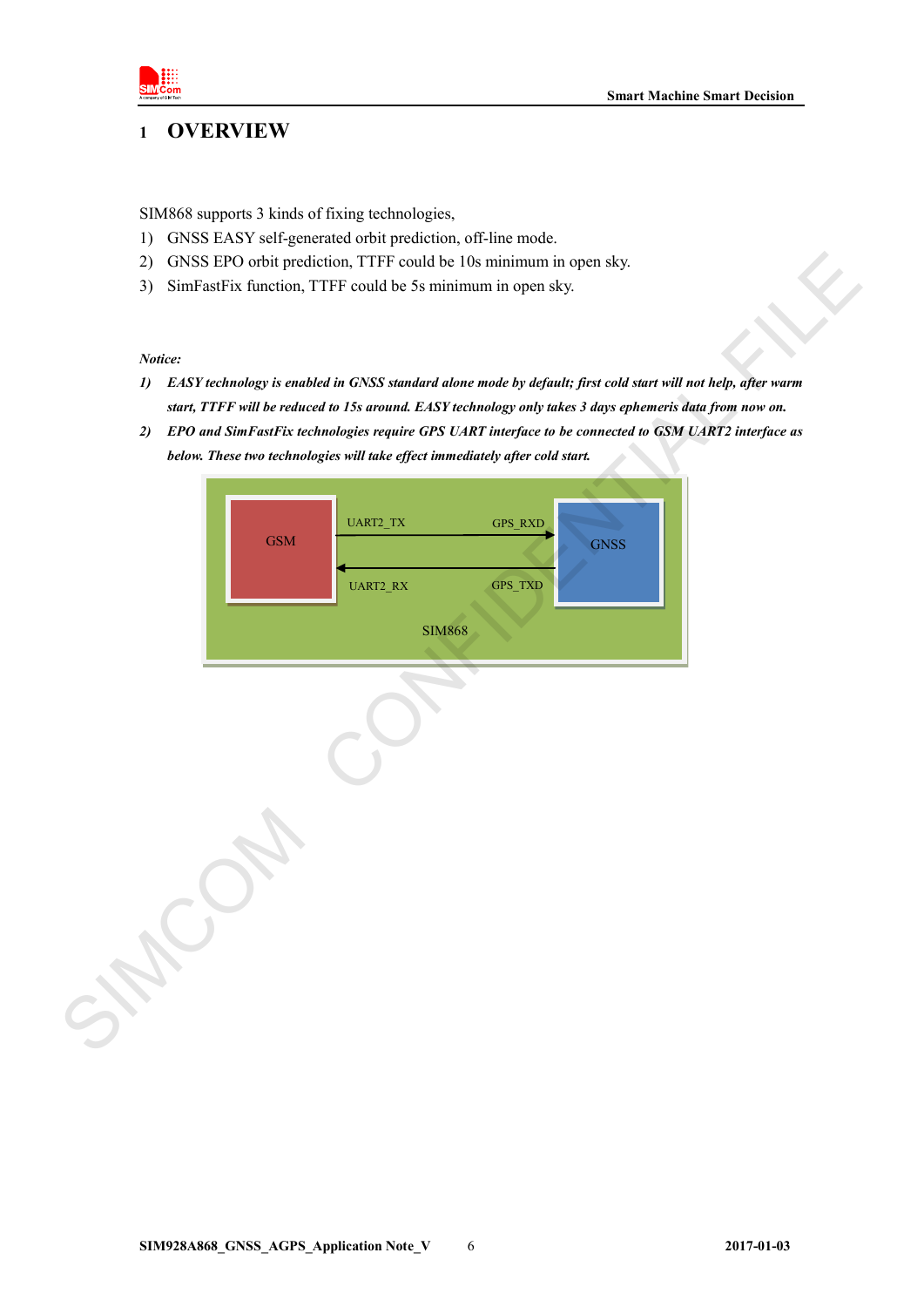

# <span id="page-4-0"></span>**1 OVERVIEW**

SIM868 supports 3 kinds of fixing technologies,

- 1) GNSS EASY self-generated orbit prediction, off-line mode.
- 2) GNSS EPO orbit prediction, TTFF could be 10s minimum in open sky.
- 3) SimFastFix function, TTFF could be 5s minimum in open sky.

### *Notice:*

- *1) EASY technology is enabled in GNSS standard alone mode by default; first cold start will not help, after warm start, TTFF will be reduced to 15s around. EASY technology only takes 3 days ephemeris data from now on.*
- *2) EPO and SimFastFix technologies require GPS UART interface to be connected to GSM UART2 interface as below. These two technologies will take effect immediately after cold start.*

| SimFastFix function, TTFF could be 5s minimum in open sky.<br>3)<br>Notice:<br>EASY technology is enabled in GNSS standard alone mode by default; first cold start will not help, after warm<br>$\boldsymbol{\eta}$<br>start, TTFF will be reduced to 15s around. EASY technology only takes 3 days ephemeris data from now on.<br>EPO and SimFastFix technologies require GPS UART interface to be connected to GSM UART2 interface as<br>2)<br>below. These two technologies will take effect immediately after cold start.<br>UART2_TX<br>GPS_RXD<br><b>GSM</b><br><b>GNSS</b><br>UART2_RX<br>GPS_TXD<br><b>SIM868</b> | 2) | GNSS EPO orbit prediction, TTFF could be 10s minimum in open sky. |
|---------------------------------------------------------------------------------------------------------------------------------------------------------------------------------------------------------------------------------------------------------------------------------------------------------------------------------------------------------------------------------------------------------------------------------------------------------------------------------------------------------------------------------------------------------------------------------------------------------------------------|----|-------------------------------------------------------------------|
|                                                                                                                                                                                                                                                                                                                                                                                                                                                                                                                                                                                                                           |    |                                                                   |
|                                                                                                                                                                                                                                                                                                                                                                                                                                                                                                                                                                                                                           |    |                                                                   |
|                                                                                                                                                                                                                                                                                                                                                                                                                                                                                                                                                                                                                           |    |                                                                   |
|                                                                                                                                                                                                                                                                                                                                                                                                                                                                                                                                                                                                                           |    |                                                                   |
|                                                                                                                                                                                                                                                                                                                                                                                                                                                                                                                                                                                                                           |    |                                                                   |
|                                                                                                                                                                                                                                                                                                                                                                                                                                                                                                                                                                                                                           |    |                                                                   |
|                                                                                                                                                                                                                                                                                                                                                                                                                                                                                                                                                                                                                           |    |                                                                   |
|                                                                                                                                                                                                                                                                                                                                                                                                                                                                                                                                                                                                                           |    |                                                                   |
|                                                                                                                                                                                                                                                                                                                                                                                                                                                                                                                                                                                                                           |    |                                                                   |
|                                                                                                                                                                                                                                                                                                                                                                                                                                                                                                                                                                                                                           |    |                                                                   |
|                                                                                                                                                                                                                                                                                                                                                                                                                                                                                                                                                                                                                           |    |                                                                   |
|                                                                                                                                                                                                                                                                                                                                                                                                                                                                                                                                                                                                                           |    |                                                                   |
|                                                                                                                                                                                                                                                                                                                                                                                                                                                                                                                                                                                                                           |    |                                                                   |
|                                                                                                                                                                                                                                                                                                                                                                                                                                                                                                                                                                                                                           |    |                                                                   |
|                                                                                                                                                                                                                                                                                                                                                                                                                                                                                                                                                                                                                           |    |                                                                   |
|                                                                                                                                                                                                                                                                                                                                                                                                                                                                                                                                                                                                                           |    |                                                                   |
|                                                                                                                                                                                                                                                                                                                                                                                                                                                                                                                                                                                                                           |    |                                                                   |
|                                                                                                                                                                                                                                                                                                                                                                                                                                                                                                                                                                                                                           |    |                                                                   |
|                                                                                                                                                                                                                                                                                                                                                                                                                                                                                                                                                                                                                           |    |                                                                   |
|                                                                                                                                                                                                                                                                                                                                                                                                                                                                                                                                                                                                                           |    |                                                                   |
|                                                                                                                                                                                                                                                                                                                                                                                                                                                                                                                                                                                                                           |    |                                                                   |
|                                                                                                                                                                                                                                                                                                                                                                                                                                                                                                                                                                                                                           |    |                                                                   |
|                                                                                                                                                                                                                                                                                                                                                                                                                                                                                                                                                                                                                           |    |                                                                   |
|                                                                                                                                                                                                                                                                                                                                                                                                                                                                                                                                                                                                                           |    |                                                                   |
|                                                                                                                                                                                                                                                                                                                                                                                                                                                                                                                                                                                                                           |    |                                                                   |
|                                                                                                                                                                                                                                                                                                                                                                                                                                                                                                                                                                                                                           |    |                                                                   |
|                                                                                                                                                                                                                                                                                                                                                                                                                                                                                                                                                                                                                           |    |                                                                   |
|                                                                                                                                                                                                                                                                                                                                                                                                                                                                                                                                                                                                                           |    |                                                                   |
|                                                                                                                                                                                                                                                                                                                                                                                                                                                                                                                                                                                                                           |    |                                                                   |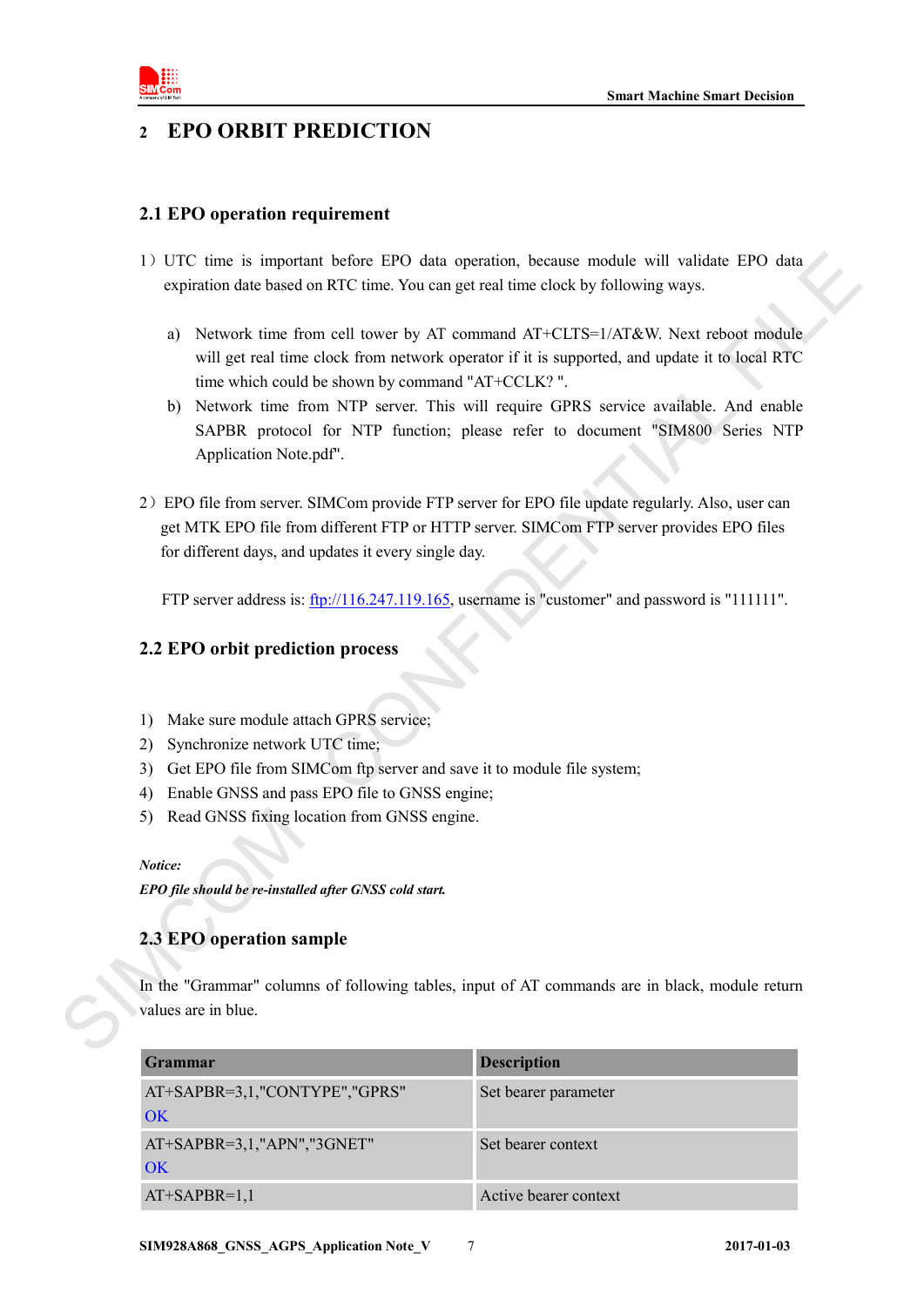

# <span id="page-5-0"></span>**2 EPO ORBIT PREDICTION**

# <span id="page-5-1"></span>**2.1 EPO operation requirement**

- 1)UTC time is important before EPO data operation, because module will validate EPO data expiration date based on RTC time. You can get real time clock by following ways.
	- a) Network time from cell tower by AT command AT+CLTS=1/AT&W. Next reboot module will get real time clock from network operator if it is supported, and update it to local RTC time which could be shown by command "AT+CCLK? ".
	- b) Network time from NTP server. This will require GPRS service available. And enable SAPBR protocol for NTP function; please refer to document "SIM800 Series NTP Application Note.pdf".
- 2)EPO file from server. SIMCom provide FTP server for EPO file update regularly. Also, user can get MTK EPO file from different FTP or HTTP server. SIMCom FTP server provides EPO files for different days, and updates it every single day. 1) U.L.C times in important better EPO data operation, because module will cultulate EPO data<br>
expiration date based on RIC time. Not our get real time clock by following ways.<br>
a) Network time from cell tower by AT comma

FTP server address is:  $\frac{f_{\text{tp}}}{116.247.119.165}$ , username is "customer" and password is "111111".

# <span id="page-5-2"></span>**2.2 EPO orbit prediction process**

- 1) Make sure module attach GPRS service;
- 2) Synchronize network UTC time;
- 3) Get EPO file from SIMCom ftp server and save it to module file system;
- 4) Enable GNSS and pass EPO file to GNSS engine;
- 5) Read GNSS fixing location from GNSS engine.

*Notice:*

*EPO file should be re-installed after GNSS cold start.*

## <span id="page-5-3"></span>**2.3 EPO operation sample**

In the "Grammar" columns of following tables, input of AT commands are in black, module return values are in blue.

| Grammar                             | <b>Description</b>    |
|-------------------------------------|-----------------------|
| AT+SAPBR=3,1,"CONTYPE","GPRS"<br>OK | Set bearer parameter  |
|                                     |                       |
| AT+SAPBR=3,1,"APN","3GNET"<br>OK    | Set bearer context    |
| $AT+SAPBR=1,1$                      | Active bearer context |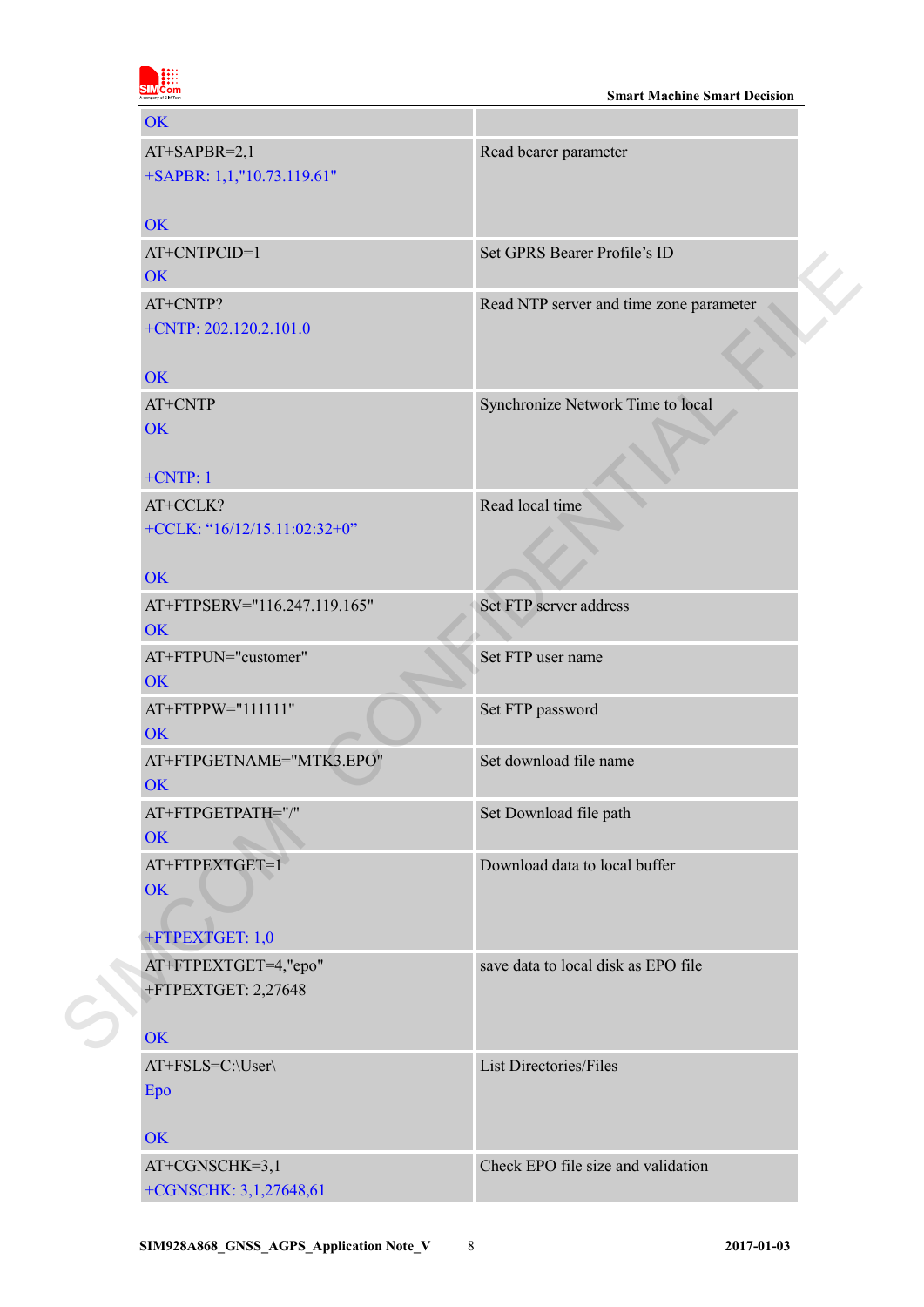| <b>Smart Machine Smart Decision</b> |
|-------------------------------------|
|                                     |

| <b>OK</b>                       |                                         |
|---------------------------------|-----------------------------------------|
| AT+SAPBR=2,1                    | Read bearer parameter                   |
| +SAPBR: 1,1,"10.73.119.61"      |                                         |
| <b>OK</b>                       |                                         |
| AT+CNTPCID=1                    | Set GPRS Bearer Profile's ID            |
| <b>OK</b>                       |                                         |
| AT+CNTP?                        | Read NTP server and time zone parameter |
| $+$ CNTP: 202.120.2.101.0       |                                         |
| <b>OK</b>                       |                                         |
| AT+CNTP                         | Synchronize Network Time to local       |
| <b>OK</b>                       |                                         |
| $+CNTP:1$                       |                                         |
| AT+CCLK?                        | Read local time                         |
| +CCLK: " $16/12/15.11:02:32+0"$ |                                         |
|                                 |                                         |
| <b>OK</b>                       |                                         |
| AT+FTPSERV="116.247.119.165"    | Set FTP server address                  |
| <b>OK</b>                       |                                         |
| AT+FTPUN="customer"             | Set FTP user name                       |
| <b>OK</b>                       |                                         |
| AT+FTPPW="111111"               | Set FTP password                        |
| <b>OK</b>                       |                                         |
| AT+FTPGETNAME="MTK3.EPO"        | Set download file name                  |
| <b>OK</b>                       |                                         |
| AT+FTPGETPATH="/"               | Set Download file path                  |
| OK                              |                                         |
| AT+FTPEXTGET=1                  | Download data to local buffer           |
| <b>OK</b>                       |                                         |
|                                 |                                         |
| +FTPEXTGET: 1,0                 |                                         |
| AT+FTPEXTGET=4,"epo"            | save data to local disk as EPO file     |
| +FTPEXTGET: 2,27648             |                                         |
| <b>OK</b>                       |                                         |
|                                 |                                         |
| AT+FSLS=C:\User\                | List Directories/Files                  |
| Epo                             |                                         |
| <b>OK</b>                       |                                         |
| AT+CGNSCHK=3,1                  | Check EPO file size and validation      |
| +CGNSCHK: 3,1,27648,61          |                                         |
|                                 |                                         |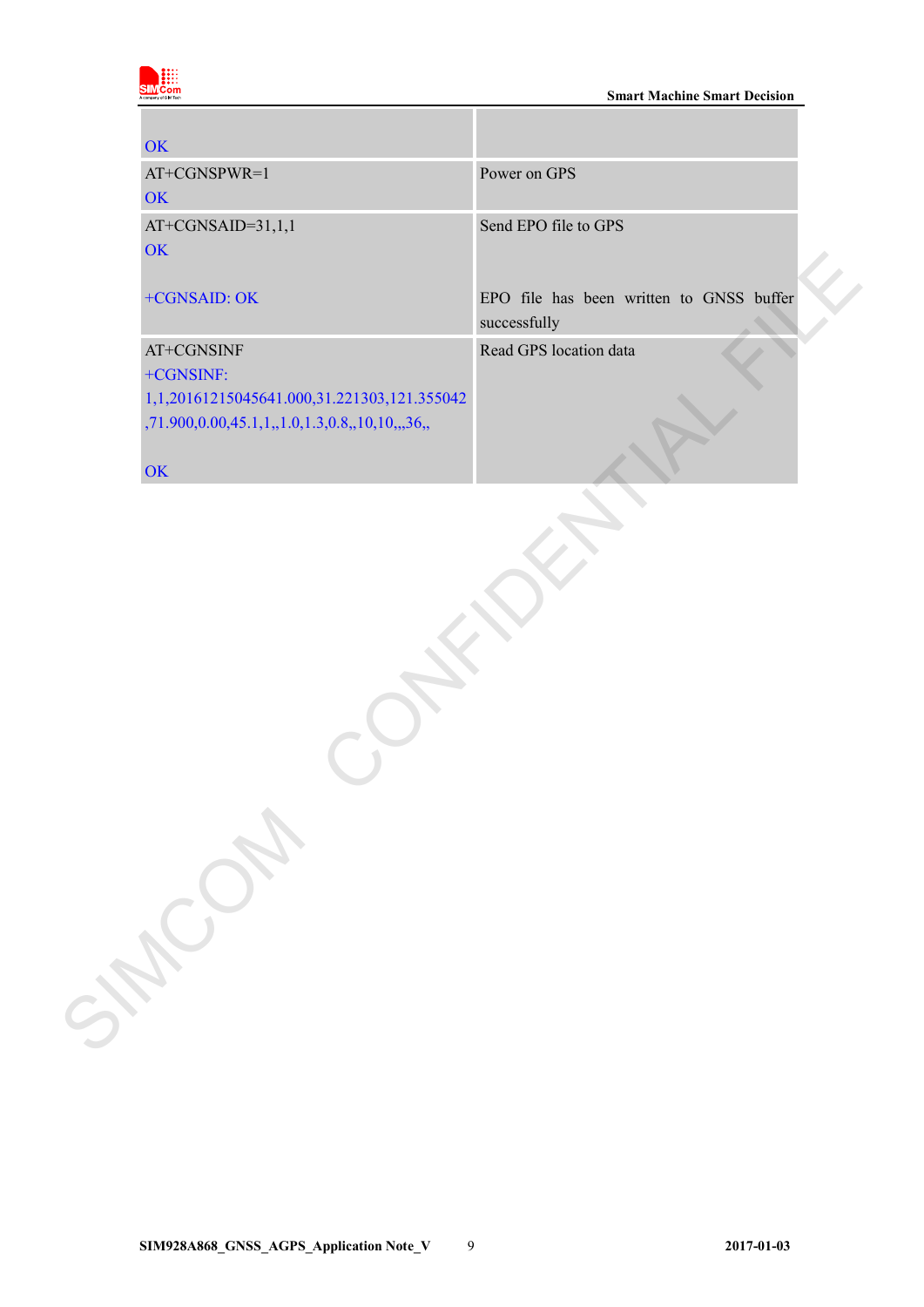

**Smart Machine Smart Decision** 

| <b>OK</b>                                      |                                          |
|------------------------------------------------|------------------------------------------|
| AT+CGNSPWR=1                                   | Power on GPS                             |
| <b>OK</b>                                      |                                          |
| AT+CGNSAID=31,1,1                              | Send EPO file to GPS                     |
| OK                                             |                                          |
| +CGNSAID: OK                                   | EPO file has been written to GNSS buffer |
|                                                | successfully                             |
| AT+CGNSINF                                     | Read GPS location data                   |
| +CGNSINF:                                      |                                          |
| 1,1,20161215045641.000,31.221303,121.355042    |                                          |
| ,71.900,0.00,45.1,1,,1.0,1.3,0.8,,10,10,,,36,, |                                          |
| OK                                             |                                          |
|                                                |                                          |
| SHOWN                                          |                                          |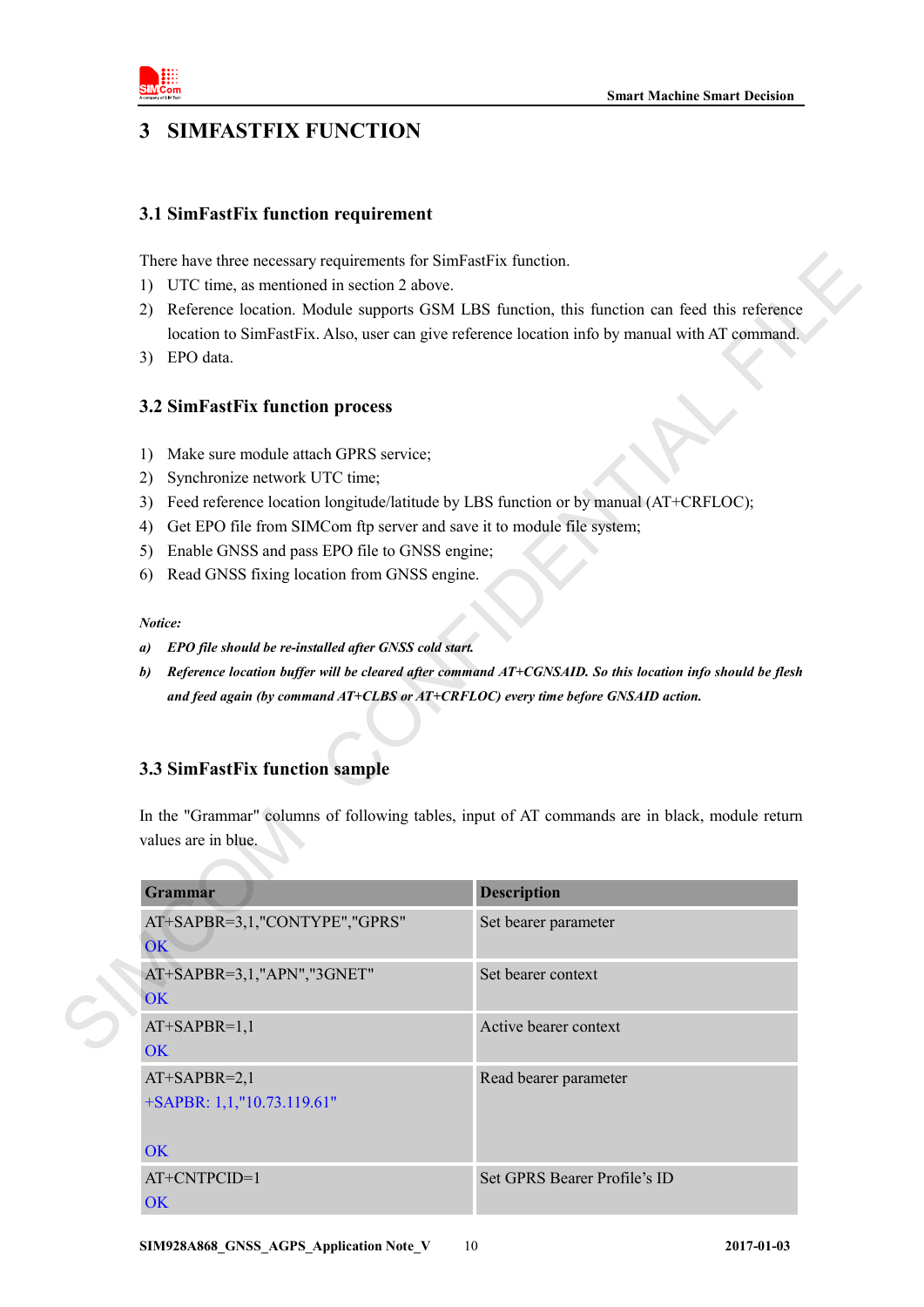

# <span id="page-8-0"></span>**3 SIMFASTFIX FUNCTION**

## <span id="page-8-1"></span>**3.1 SimFastFix function requirement**

- 1) UTC time, as mentioned in section 2 above.
- 2) Reference location. Module supports GSM LBS function, this function can feed this reference location to SimFastFix. Also, user can give reference location info by manual with AT command.
- 3) EPO data.

# <span id="page-8-2"></span>**3.2 SimFastFix function process**

- 1) Make sure module attach GPRS service;
- 2) Synchronize network UTC time;
- 3) Feed reference location longitude/latitude by LBS function or by manual (AT+CRFLOC);
- 4) Get EPO file from SIMCom ftp server and save it to module file system;
- 5) Enable GNSS and pass EPO file to GNSS engine;
- 6) Read GNSS fixing location from GNSS engine.

### *Notice:*

- *a) EPO file should be re-installed after GNSS cold start.*
- *b) Reference location buffer will be cleared after command AT+CGNSAID. So this location info should be flesh and feed again (by command AT+CLBS or AT+CRFLOC) every time before GNSAID action.*

# <span id="page-8-3"></span>**3.3 SimFastFix function sample**

| There have three necessary requirements for SimFastFix function.                                  |                                                                                                           |  |  |  |  |
|---------------------------------------------------------------------------------------------------|-----------------------------------------------------------------------------------------------------------|--|--|--|--|
| UTC time, as mentioned in section 2 above.<br>1)                                                  |                                                                                                           |  |  |  |  |
| Reference location. Module supports GSM LBS function, this function can feed this reference<br>2) |                                                                                                           |  |  |  |  |
|                                                                                                   | location to SimFastFix. Also, user can give reference location info by manual with AT command.            |  |  |  |  |
| EPO data.<br>3)                                                                                   |                                                                                                           |  |  |  |  |
| 3.2 SimFastFix function process                                                                   |                                                                                                           |  |  |  |  |
| Make sure module attach GPRS service;<br>1)                                                       |                                                                                                           |  |  |  |  |
| Synchronize network UTC time;<br>2)                                                               |                                                                                                           |  |  |  |  |
| 3)                                                                                                | Feed reference location longitude/latitude by LBS function or by manual (AT+CRFLOC);                      |  |  |  |  |
| Get EPO file from SIMCom ftp server and save it to module file system;<br>4)                      |                                                                                                           |  |  |  |  |
| Enable GNSS and pass EPO file to GNSS engine;<br>5)                                               |                                                                                                           |  |  |  |  |
| Read GNSS fixing location from GNSS engine.<br>6)                                                 |                                                                                                           |  |  |  |  |
| Notice:                                                                                           |                                                                                                           |  |  |  |  |
| EPO file should be re-installed after GNSS cold start.<br>a)                                      |                                                                                                           |  |  |  |  |
| b)                                                                                                | Reference location buffer will be cleared after command AT+CGNSAID. So this location info should be flesh |  |  |  |  |
| and feed again (by command AT+CLBS or AT+CRFLOC) every time before GNSAID action.                 |                                                                                                           |  |  |  |  |
|                                                                                                   |                                                                                                           |  |  |  |  |
| 3.3 SimFastFix function sample<br>values are in blue.                                             | In the "Grammar" columns of following tables, input of AT commands are in black, module return            |  |  |  |  |
| Grammar                                                                                           | <b>Description</b>                                                                                        |  |  |  |  |
| AT+SAPBR=3,1,"CONTYPE","GPRS"                                                                     | Set bearer parameter                                                                                      |  |  |  |  |
| OK                                                                                                |                                                                                                           |  |  |  |  |
| AT+SAPBR=3,1,"APN","3GNET"<br>OK                                                                  | Set bearer context                                                                                        |  |  |  |  |
| $AT+SAPBR=1,1$                                                                                    | Active bearer context                                                                                     |  |  |  |  |
| OK                                                                                                |                                                                                                           |  |  |  |  |
| $AT+SAPBR=2,1$                                                                                    | Read bearer parameter                                                                                     |  |  |  |  |
|                                                                                                   |                                                                                                           |  |  |  |  |
| +SAPBR: 1,1,"10.73.119.61"                                                                        |                                                                                                           |  |  |  |  |
| <b>OK</b>                                                                                         |                                                                                                           |  |  |  |  |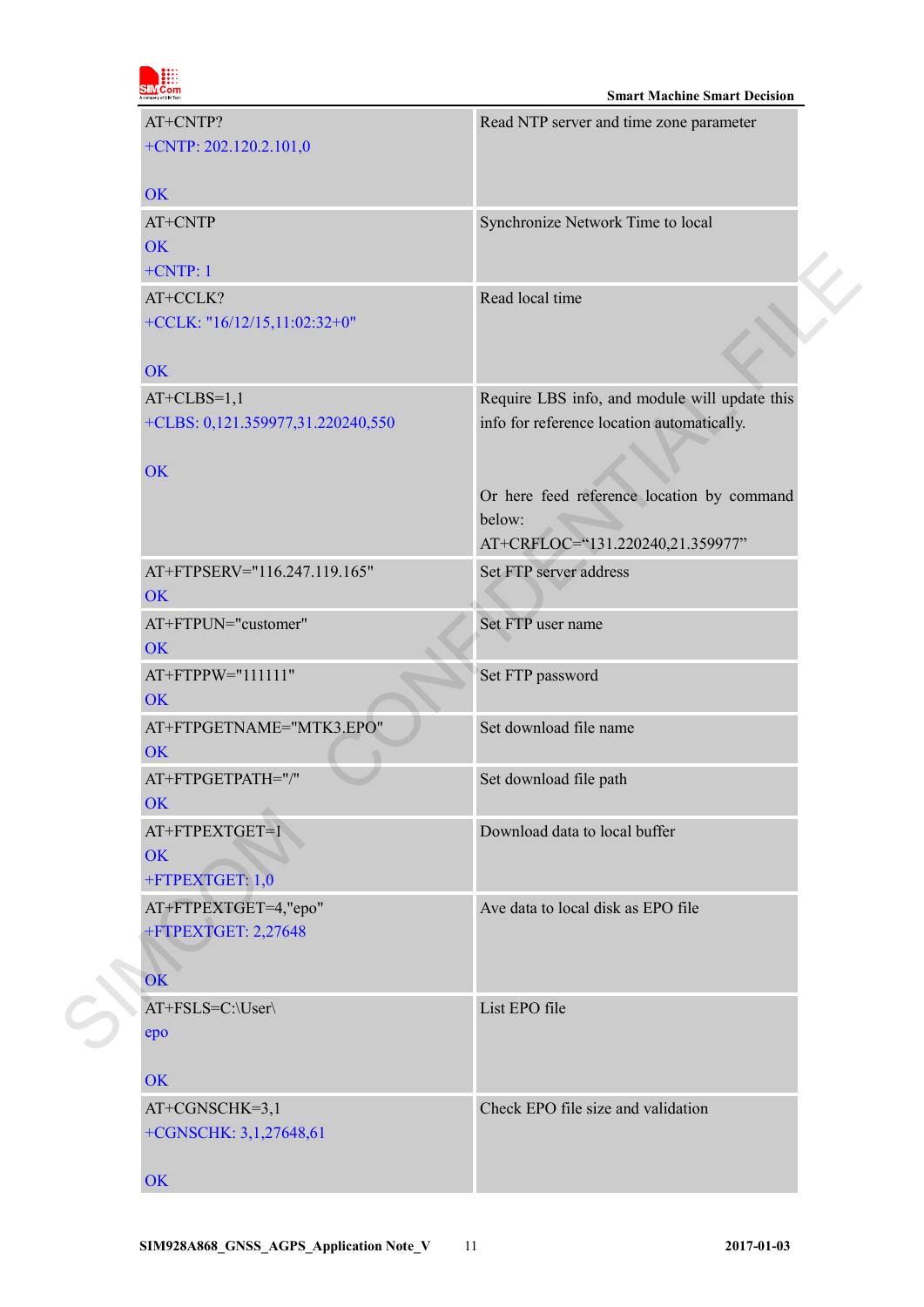|                       | om |
|-----------------------|----|
|                       |    |
| A company of SIM Tech |    |
|                       |    |

| AT+CNTP? |                                   | Read NTP server and time zone parameter       |  |
|----------|-----------------------------------|-----------------------------------------------|--|
|          | $+CNTP: 202.120.2.101,0$          |                                               |  |
|          | <b>OK</b>                         |                                               |  |
|          | AT+CNTP                           | Synchronize Network Time to local             |  |
|          | <b>OK</b>                         |                                               |  |
|          | $+CNTP:1$                         |                                               |  |
|          | AT+CCLK?                          | Read local time                               |  |
|          | +CCLK: "16/12/15,11:02:32+0"      |                                               |  |
|          | <b>OK</b>                         |                                               |  |
|          | $AT+CLBS=1,1$                     | Require LBS info, and module will update this |  |
|          | +CLBS: 0,121.359977,31.220240,550 | info for reference location automatically.    |  |
|          |                                   |                                               |  |
|          | <b>OK</b>                         | Or here feed reference location by command    |  |
|          |                                   | below:                                        |  |
|          |                                   | AT+CRFLOC="131.220240,21.359977"              |  |
|          | AT+FTPSERV="116.247.119.165"      | Set FTP server address                        |  |
|          | <b>OK</b>                         |                                               |  |
|          | AT+FTPUN="customer"               | Set FTP user name                             |  |
|          | <b>OK</b>                         |                                               |  |
|          | AT+FTPPW="111111"<br><b>OK</b>    | Set FTP password                              |  |
|          | AT+FTPGETNAME="MTK3.EPO"          | Set download file name                        |  |
|          | <b>OK</b>                         |                                               |  |
|          | AT+FTPGETPATH="/"                 | Set download file path                        |  |
|          | OK                                |                                               |  |
|          | AT+FTPEXTGET=1                    | Download data to local buffer                 |  |
|          | <b>OK</b>                         |                                               |  |
|          | +FTPEXTGET: 1,0                   |                                               |  |
|          | AT+FTPEXTGET=4,"epo"              | Ave data to local disk as EPO file            |  |
|          | +FTPEXTGET: 2,27648               |                                               |  |
|          | OK                                |                                               |  |
|          | AT+FSLS=C:\User\                  | List EPO file                                 |  |
|          | epo                               |                                               |  |
|          | OK                                |                                               |  |
|          | AT+CGNSCHK=3,1                    | Check EPO file size and validation            |  |
|          | +CGNSCHK: 3,1,27648,61            |                                               |  |
|          | OK                                |                                               |  |
|          |                                   |                                               |  |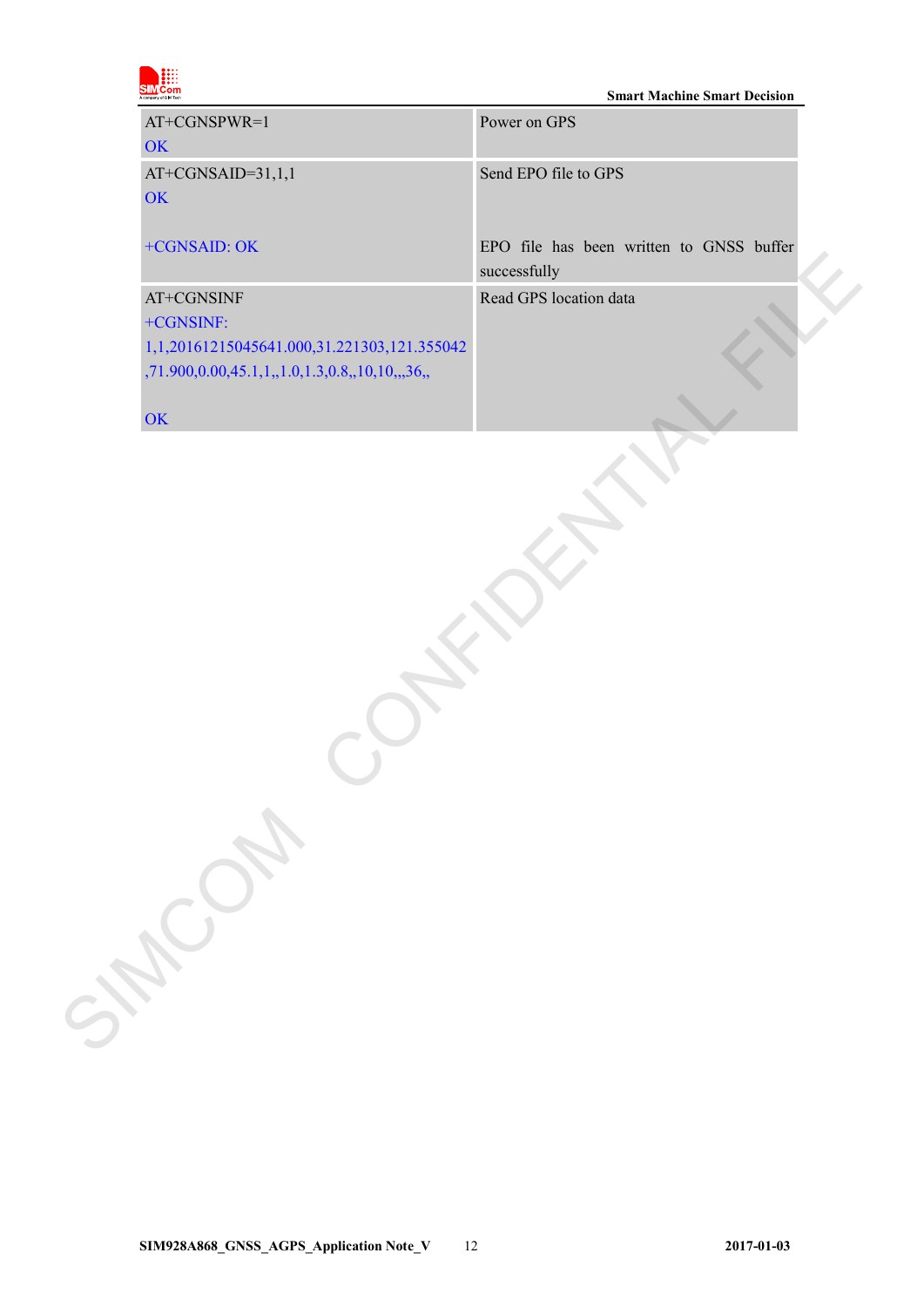|  | om<br>A company of SIM Tech |
|--|-----------------------------|

### **Smart Machine Smart Decision**

| AT+CGNSPWR=1<br>OK                                                                                                       | Power on GPS                                             |
|--------------------------------------------------------------------------------------------------------------------------|----------------------------------------------------------|
| AT+CGNSAID=31,1,1<br>OK                                                                                                  | Send EPO file to GPS                                     |
| +CGNSAID: OK                                                                                                             | EPO file has been written to GNSS buffer<br>successfully |
| AT+CGNSINF<br>+CGNSINF:<br>1,1,20161215045641.000,31.221303,121.355042<br>,71.900,0.00,45.1,1,,1.0,1.3,0.8,,10,10,,,36,, | Read GPS location data                                   |
| OK<br>SHOW S                                                                                                             |                                                          |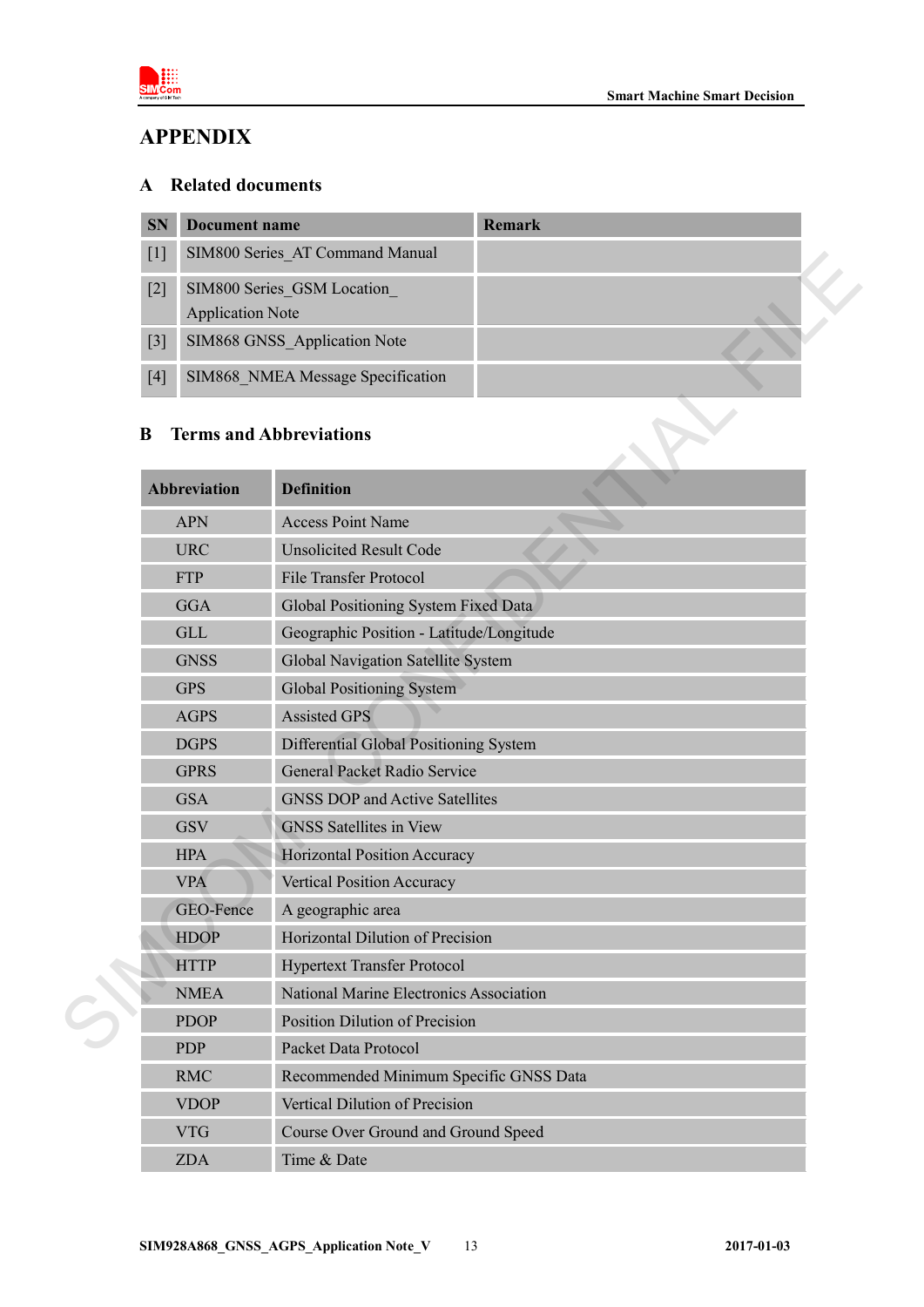

# <span id="page-11-0"></span>**APPENDIX**

# <span id="page-11-1"></span>**A Related documents**

| <b>SN</b>         | Document name                     | <b>Remark</b> |  |
|-------------------|-----------------------------------|---------------|--|
| $\lceil 1 \rceil$ | SIM800 Series AT Command Manual   |               |  |
| $[2]$             | SIM800 Series GSM Location        |               |  |
|                   | <b>Application Note</b>           |               |  |
| $\lceil 3 \rceil$ | SIM868 GNSS Application Note      |               |  |
| [4]               | SIM868 NMEA Message Specification |               |  |

# <span id="page-11-2"></span>**B Terms and Abbreviations**

|  | IJ                                                                                  | SIM800 Series AI Command Manual          |  |
|--|-------------------------------------------------------------------------------------|------------------------------------------|--|
|  | $[2]$<br><b>Application Note</b>                                                    | SIM800 Series GSM Location               |  |
|  | $[3]$                                                                               | SIM868 GNSS_Application Note             |  |
|  | $[4]$                                                                               | SIM868 NMEA Message Specification        |  |
|  | B                                                                                   | <b>Terms and Abbreviations</b>           |  |
|  | <b>Abbreviation</b>                                                                 | <b>Definition</b>                        |  |
|  | <b>Access Point Name</b><br><b>APN</b>                                              |                                          |  |
|  | <b>URC</b>                                                                          | <b>Unsolicited Result Code</b>           |  |
|  | <b>FTP</b>                                                                          | <b>File Transfer Protocol</b>            |  |
|  | <b>GGA</b>                                                                          | Global Positioning System Fixed Data     |  |
|  | <b>GLL</b>                                                                          | Geographic Position - Latitude/Longitude |  |
|  | <b>GNSS</b>                                                                         | Global Navigation Satellite System       |  |
|  | <b>GPS</b>                                                                          | <b>Global Positioning System</b>         |  |
|  | <b>AGPS</b>                                                                         | <b>Assisted GPS</b>                      |  |
|  | <b>DGPS</b>                                                                         | Differential Global Positioning System   |  |
|  | <b>GPRS</b>                                                                         | <b>General Packet Radio Service</b>      |  |
|  | <b>GSA</b>                                                                          | <b>GNSS DOP and Active Satellites</b>    |  |
|  | <b>GSV</b>                                                                          | <b>GNSS</b> Satellites in View           |  |
|  | <b>HPA</b>                                                                          | Horizontal Position Accuracy             |  |
|  | <b>VPA</b>                                                                          | <b>Vertical Position Accuracy</b>        |  |
|  | GEO-Fence                                                                           | A geographic area                        |  |
|  | <b>HDOP</b>                                                                         | Horizontal Dilution of Precision         |  |
|  | <b>HTTP</b>                                                                         | <b>Hypertext Transfer Protocol</b>       |  |
|  | <b>NMEA</b>                                                                         | National Marine Electronics Association  |  |
|  | Position Dilution of Precision<br><b>PDOP</b><br>Packet Data Protocol<br><b>PDP</b> |                                          |  |
|  |                                                                                     |                                          |  |
|  | <b>RMC</b>                                                                          | Recommended Minimum Specific GNSS Data   |  |
|  | <b>VDOP</b>                                                                         | Vertical Dilution of Precision           |  |
|  | <b>VTG</b>                                                                          | Course Over Ground and Ground Speed      |  |
|  | <b>ZDA</b>                                                                          | Time & Date                              |  |